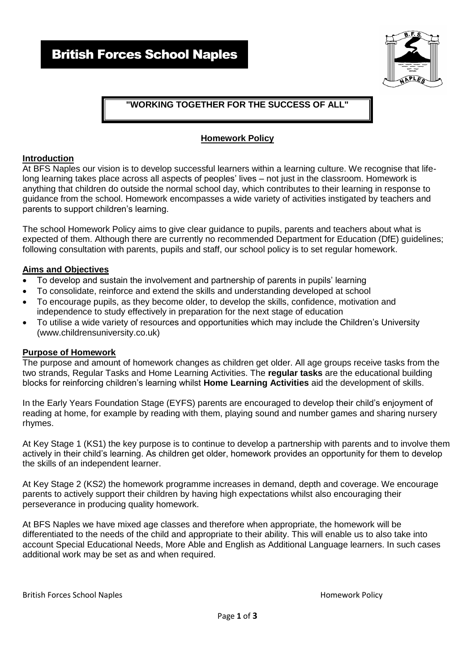British Forces School Naples



## **"WORKING TOGETHER FOR THE SUCCESS OF ALL"**

### **Homework Policy**

#### **Introduction**

At BFS Naples our vision is to develop successful learners within a learning culture. We recognise that lifelong learning takes place across all aspects of peoples' lives – not just in the classroom. Homework is anything that children do outside the normal school day, which contributes to their learning in response to guidance from the school. Homework encompasses a wide variety of activities instigated by teachers and parents to support children's learning.

The school Homework Policy aims to give clear guidance to pupils, parents and teachers about what is expected of them. Although there are currently no recommended Department for Education (DfE) guidelines; following consultation with parents, pupils and staff, our school policy is to set regular homework.

### **Aims and Objectives**

- To develop and sustain the involvement and partnership of parents in pupils' learning
- To consolidate, reinforce and extend the skills and understanding developed at school
- To encourage pupils, as they become older, to develop the skills, confidence, motivation and independence to study effectively in preparation for the next stage of education
- To utilise a wide variety of resources and opportunities which may include the Children's University (www.childrensuniversity.co.uk)

#### **Purpose of Homework**

The purpose and amount of homework changes as children get older. All age groups receive tasks from the two strands, Regular Tasks and Home Learning Activities. The **regular tasks** are the educational building blocks for reinforcing children's learning whilst **Home Learning Activities** aid the development of skills.

In the Early Years Foundation Stage (EYFS) parents are encouraged to develop their child's enjoyment of reading at home, for example by reading with them, playing sound and number games and sharing nursery rhymes.

At Key Stage 1 (KS1) the key purpose is to continue to develop a partnership with parents and to involve them actively in their child's learning. As children get older, homework provides an opportunity for them to develop the skills of an independent learner.

At Key Stage 2 (KS2) the homework programme increases in demand, depth and coverage. We encourage parents to actively support their children by having high expectations whilst also encouraging their perseverance in producing quality homework.

At BFS Naples we have mixed age classes and therefore when appropriate, the homework will be differentiated to the needs of the child and appropriate to their ability. This will enable us to also take into account Special Educational Needs, More Able and English as Additional Language learners. In such cases additional work may be set as and when required.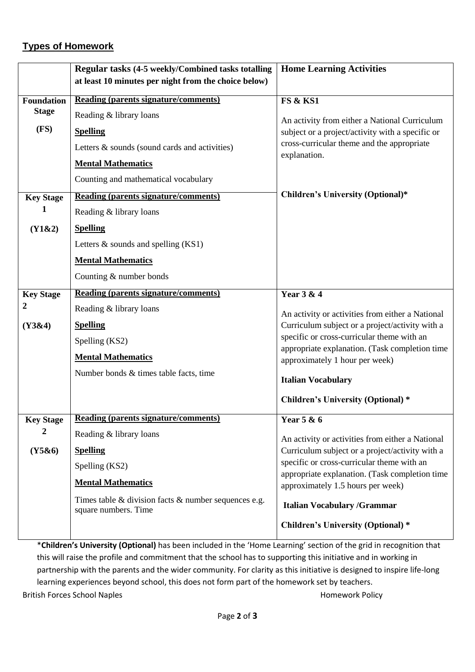# **Types of Homework**

|                   | Regular tasks (4-5 weekly/Combined tasks totalling                               | <b>Home Learning Activities</b>                                                                     |
|-------------------|----------------------------------------------------------------------------------|-----------------------------------------------------------------------------------------------------|
|                   | at least 10 minutes per night from the choice below)                             |                                                                                                     |
| <b>Foundation</b> | <b>Reading (parents signature/comments)</b>                                      | FS & KS1                                                                                            |
| <b>Stage</b>      | Reading & library loans                                                          |                                                                                                     |
| (FS)              | <b>Spelling</b>                                                                  | An activity from either a National Curriculum<br>subject or a project/activity with a specific or   |
|                   | Letters & sounds (sound cards and activities)                                    | cross-curricular theme and the appropriate                                                          |
|                   |                                                                                  | explanation.                                                                                        |
|                   | <b>Mental Mathematics</b>                                                        |                                                                                                     |
|                   | Counting and mathematical vocabulary                                             |                                                                                                     |
| <b>Key Stage</b>  | <b>Reading (parents signature/comments)</b>                                      | Children's University (Optional)*                                                                   |
| 1                 | Reading & library loans                                                          |                                                                                                     |
| (Y1&2)            | <b>Spelling</b>                                                                  |                                                                                                     |
|                   | Letters $\&$ sounds and spelling (KS1)                                           |                                                                                                     |
|                   | <b>Mental Mathematics</b>                                                        |                                                                                                     |
|                   | Counting & number bonds                                                          |                                                                                                     |
| <b>Key Stage</b>  | <b>Reading (parents signature/comments)</b>                                      | <b>Year 3 &amp; 4</b>                                                                               |
| 2                 | Reading & library loans                                                          |                                                                                                     |
|                   |                                                                                  | An activity or activities from either a National                                                    |
| (Y3&4)            | <b>Spelling</b>                                                                  | Curriculum subject or a project/activity with a<br>specific or cross-curricular theme with an       |
|                   | Spelling (KS2)                                                                   | appropriate explanation. (Task completion time                                                      |
|                   | <b>Mental Mathematics</b>                                                        | approximately 1 hour per week)                                                                      |
|                   | Number bonds & times table facts, time                                           | <b>Italian Vocabulary</b>                                                                           |
|                   |                                                                                  | <b>Children's University (Optional) *</b>                                                           |
| <b>Key Stage</b>  | <b>Reading (parents signature/comments)</b>                                      | Year $5 & 6$                                                                                        |
| 2                 | Reading & library loans                                                          |                                                                                                     |
| (Y5&6)            | <b>Spelling</b>                                                                  | An activity or activities from either a National<br>Curriculum subject or a project/activity with a |
|                   | Spelling (KS2)                                                                   | specific or cross-curricular theme with an                                                          |
|                   | <b>Mental Mathematics</b>                                                        | appropriate explanation. (Task completion time                                                      |
|                   |                                                                                  | approximately 1.5 hours per week)                                                                   |
|                   | Times table $&$ division facts $&$ number sequences e.g.<br>square numbers. Time | <b>Italian Vocabulary /Grammar</b>                                                                  |
|                   |                                                                                  | <b>Children's University (Optional) *</b>                                                           |
|                   |                                                                                  |                                                                                                     |

British Forces School Naples **Homework Policy** Homework Policy \***Children's University (Optional)** has been included in the 'Home Learning' section of the grid in recognition that this will raise the profile and commitment that the school has to supporting this initiative and in working in partnership with the parents and the wider community. For clarity as this initiative is designed to inspire life-long learning experiences beyond school, this does not form part of the homework set by teachers.